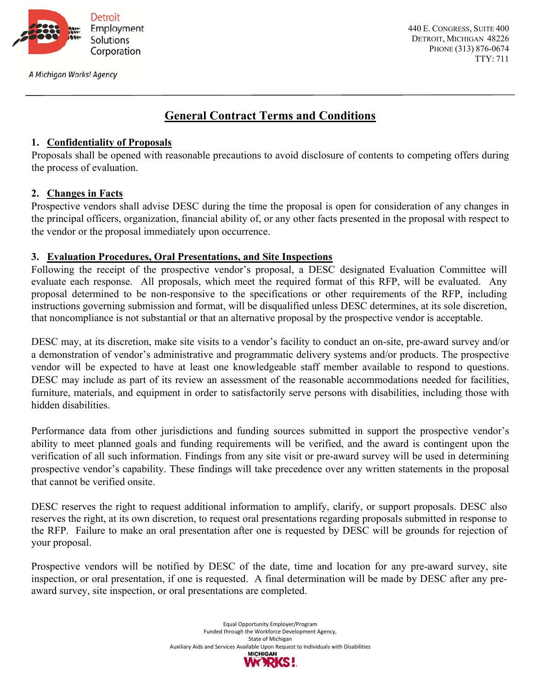

A Michigan Works! Agency

440 E. CONGRESS, SUITE 400 DETROIT, MICHIGAN 48226 PHONE (313) 876-0674 TTY: 711

# **General Contract Terms and Conditions**

## **1. Confidentiality of Proposals**

Proposals shall be opened with reasonable precautions to avoid disclosure of contents to competing offers during the process of evaluation.

## **2. Changes in Facts**

Prospective vendors shall advise DESC during the time the proposal is open for consideration of any changes in the principal officers, organization, financial ability of, or any other facts presented in the proposal with respect to the vendor or the proposal immediately upon occurrence.

## **3. Evaluation Procedures, Oral Presentations, and Site Inspections**

Following the receipt of the prospective vendor's proposal, a DESC designated Evaluation Committee will evaluate each response. All proposals, which meet the required format of this RFP, will be evaluated. Any proposal determined to be non-responsive to the specifications or other requirements of the RFP, including instructions governing submission and format, will be disqualified unless DESC determines, at its sole discretion, that noncompliance is not substantial or that an alternative proposal by the prospective vendor is acceptable.

DESC may, at its discretion, make site visits to a vendor's facility to conduct an on-site, pre-award survey and/or a demonstration of vendor's administrative and programmatic delivery systems and/or products. The prospective vendor will be expected to have at least one knowledgeable staff member available to respond to questions. DESC may include as part of its review an assessment of the reasonable accommodations needed for facilities, furniture, materials, and equipment in order to satisfactorily serve persons with disabilities, including those with hidden disabilities.

Performance data from other jurisdictions and funding sources submitted in support the prospective vendor's ability to meet planned goals and funding requirements will be verified, and the award is contingent upon the verification of all such information. Findings from any site visit or pre-award survey will be used in determining prospective vendor's capability. These findings will take precedence over any written statements in the proposal that cannot be verified onsite.

DESC reserves the right to request additional information to amplify, clarify, or support proposals. DESC also reserves the right, at its own discretion, to request oral presentations regarding proposals submitted in response to the RFP. Failure to make an oral presentation after one is requested by DESC will be grounds for rejection of your proposal.

Prospective vendors will be notified by DESC of the date, time and location for any pre-award survey, site inspection, or oral presentation, if one is requested. A final determination will be made by DESC after any preaward survey, site inspection, or oral presentations are completed.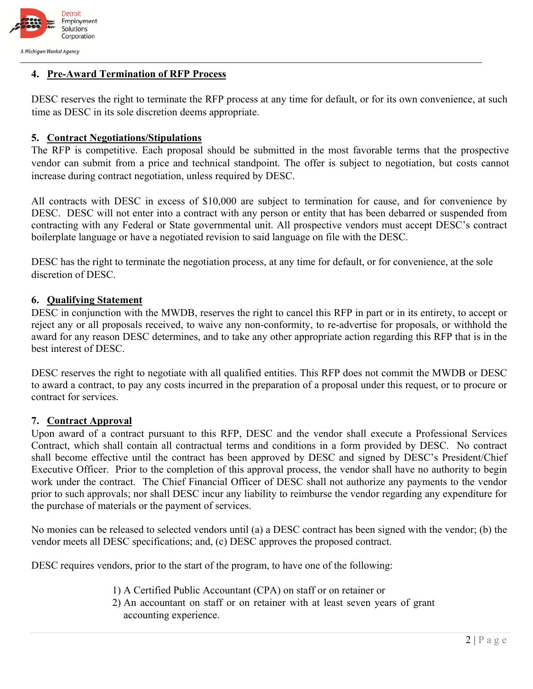

## **4. Pre-Award Termination of RFP Process**

DESC reserves the right to terminate the RFP process at any time for default, or for its own convenience, at such time as DESC in its sole discretion deems appropriate.

#### **5. Contract Negotiations/Stipulations**

The RFP is competitive. Each proposal should be submitted in the most favorable terms that the prospective vendor can submit from a price and technical standpoint. The offer is subject to negotiation, but costs cannot increase during contract negotiation, unless required by DESC.

All contracts with DESC in excess of \$10,000 are subject to termination for cause, and for convenience by DESC. DESC will not enter into a contract with any person or entity that has been debarred or suspended from contracting with any Federal or State governmental unit. All prospective vendors must accept DESC's contract boilerplate language or have a negotiated revision to said language on file with the DESC.

DESC has the right to terminate the negotiation process, at any time for default, or for convenience, at the sole discretion of DESC.

#### **6. Qualifying Statement**

DESC in conjunction with the MWDB, reserves the right to cancel this RFP in part or in its entirety, to accept or reject any or all proposals received, to waive any non-conformity, to re-advertise for proposals, or withhold the award for any reason DESC determines, and to take any other appropriate action regarding this RFP that is in the best interest of DESC.

DESC reserves the right to negotiate with all qualified entities. This RFP does not commit the MWDB or DESC to award a contract, to pay any costs incurred in the preparation of a proposal under this request, or to procure or contract for services.

### **7. Contract Approval**

Upon award of a contract pursuant to this RFP, DESC and the vendor shall execute a Professional Services Contract, which shall contain all contractual terms and conditions in a form provided by DESC. No contract shall become effective until the contract has been approved by DESC and signed by DESC's President/Chief Executive Officer. Prior to the completion of this approval process, the vendor shall have no authority to begin work under the contract. The Chief Financial Officer of DESC shall not authorize any payments to the vendor prior to such approvals; nor shall DESC incur any liability to reimburse the vendor regarding any expenditure for the purchase of materials or the payment of services.

No monies can be released to selected vendors until (a) a DESC contract has been signed with the vendor; (b) the vendor meets all DESC specifications; and, (c) DESC approves the proposed contract.

DESC requires vendors, prior to the start of the program, to have one of the following:

- 1) A Certified Public Accountant (CPA) on staff or on retainer or
- 2) An accountant on staff or on retainer with at least seven years of grant accounting experience.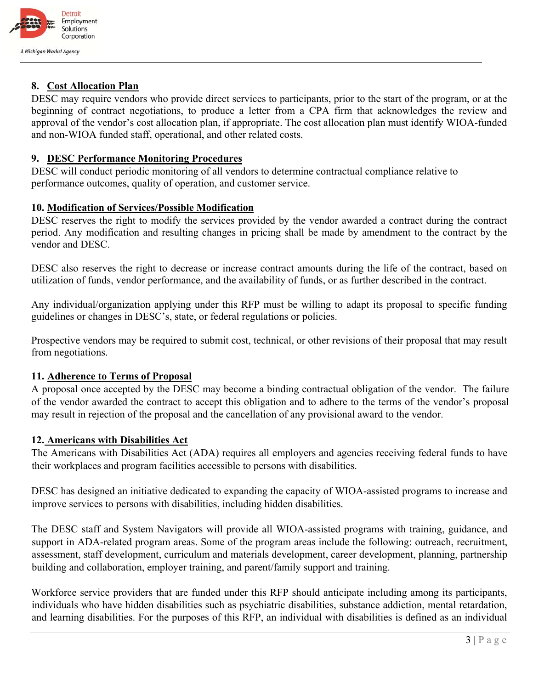

## **8. Cost Allocation Plan**

DESC may require vendors who provide direct services to participants, prior to the start of the program, or at the beginning of contract negotiations, to produce a letter from a CPA firm that acknowledges the review and approval of the vendor's cost allocation plan, if appropriate. The cost allocation plan must identify WIOA-funded and non-WIOA funded staff, operational, and other related costs.

## **9. DESC Performance Monitoring Procedures**

DESC will conduct periodic monitoring of all vendors to determine contractual compliance relative to performance outcomes, quality of operation, and customer service.

## **10. Modification of Services/Possible Modification**

DESC reserves the right to modify the services provided by the vendor awarded a contract during the contract period. Any modification and resulting changes in pricing shall be made by amendment to the contract by the vendor and DESC.

DESC also reserves the right to decrease or increase contract amounts during the life of the contract, based on utilization of funds, vendor performance, and the availability of funds, or as further described in the contract.

Any individual/organization applying under this RFP must be willing to adapt its proposal to specific funding guidelines or changes in DESC's, state, or federal regulations or policies.

Prospective vendors may be required to submit cost, technical, or other revisions of their proposal that may result from negotiations.

## **11. Adherence to Terms of Proposal**

A proposal once accepted by the DESC may become a binding contractual obligation of the vendor. The failure of the vendor awarded the contract to accept this obligation and to adhere to the terms of the vendor's proposal may result in rejection of the proposal and the cancellation of any provisional award to the vendor.

## **12. Americans with Disabilities Act**

The Americans with Disabilities Act (ADA) requires all employers and agencies receiving federal funds to have their workplaces and program facilities accessible to persons with disabilities.

DESC has designed an initiative dedicated to expanding the capacity of WIOA-assisted programs to increase and improve services to persons with disabilities, including hidden disabilities.

The DESC staff and System Navigators will provide all WIOA-assisted programs with training, guidance, and support in ADA-related program areas. Some of the program areas include the following: outreach, recruitment, assessment, staff development, curriculum and materials development, career development, planning, partnership building and collaboration, employer training, and parent/family support and training.

Workforce service providers that are funded under this RFP should anticipate including among its participants, individuals who have hidden disabilities such as psychiatric disabilities, substance addiction, mental retardation, and learning disabilities. For the purposes of this RFP, an individual with disabilities is defined as an individual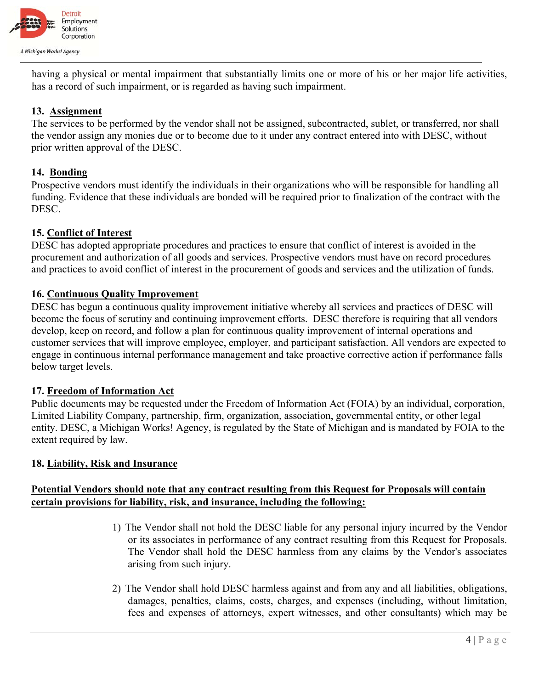

having a physical or mental impairment that substantially limits one or more of his or her major life activities, has a record of such impairment, or is regarded as having such impairment.

## **13. Assignment**

The services to be performed by the vendor shall not be assigned, subcontracted, sublet, or transferred, nor shall the vendor assign any monies due or to become due to it under any contract entered into with DESC, without prior written approval of the DESC.

## **14. Bonding**

Prospective vendors must identify the individuals in their organizations who will be responsible for handling all funding. Evidence that these individuals are bonded will be required prior to finalization of the contract with the DESC.

## **15. Conflict of Interest**

DESC has adopted appropriate procedures and practices to ensure that conflict of interest is avoided in the procurement and authorization of all goods and services. Prospective vendors must have on record procedures and practices to avoid conflict of interest in the procurement of goods and services and the utilization of funds.

## **16. Continuous Quality Improvement**

DESC has begun a continuous quality improvement initiative whereby all services and practices of DESC will become the focus of scrutiny and continuing improvement efforts. DESC therefore is requiring that all vendors develop, keep on record, and follow a plan for continuous quality improvement of internal operations and customer services that will improve employee, employer, and participant satisfaction. All vendors are expected to engage in continuous internal performance management and take proactive corrective action if performance falls below target levels.

### **17. Freedom of Information Act**

Public documents may be requested under the Freedom of Information Act (FOIA) by an individual, corporation, Limited Liability Company, partnership, firm, organization, association, governmental entity, or other legal entity. DESC, a Michigan Works! Agency, is regulated by the State of Michigan and is mandated by FOIA to the extent required by law.

### **18. Liability, Risk and Insurance**

## **Potential Vendors should note that any contract resulting from this Request for Proposals will contain certain provisions for liability, risk, and insurance, including the following:**

- 1) The Vendor shall not hold the DESC liable for any personal injury incurred by the Vendor or its associates in performance of any contract resulting from this Request for Proposals. The Vendor shall hold the DESC harmless from any claims by the Vendor's associates arising from such injury.
- 2) The Vendor shall hold DESC harmless against and from any and all liabilities, obligations, damages, penalties, claims, costs, charges, and expenses (including, without limitation, fees and expenses of attorneys, expert witnesses, and other consultants) which may be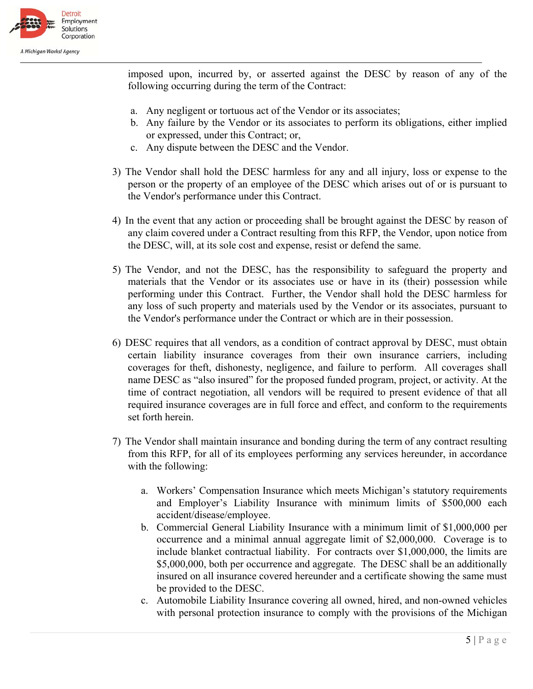

imposed upon, incurred by, or asserted against the DESC by reason of any of the following occurring during the term of the Contract:

- a. Any negligent or tortuous act of the Vendor or its associates;
- b. Any failure by the Vendor or its associates to perform its obligations, either implied or expressed, under this Contract; or,
- c. Any dispute between the DESC and the Vendor.
- 3) The Vendor shall hold the DESC harmless for any and all injury, loss or expense to the person or the property of an employee of the DESC which arises out of or is pursuant to the Vendor's performance under this Contract.
- 4) In the event that any action or proceeding shall be brought against the DESC by reason of any claim covered under a Contract resulting from this RFP, the Vendor, upon notice from the DESC, will, at its sole cost and expense, resist or defend the same.
- 5) The Vendor, and not the DESC, has the responsibility to safeguard the property and materials that the Vendor or its associates use or have in its (their) possession while performing under this Contract. Further, the Vendor shall hold the DESC harmless for any loss of such property and materials used by the Vendor or its associates, pursuant to the Vendor's performance under the Contract or which are in their possession.
- 6) DESC requires that all vendors, as a condition of contract approval by DESC, must obtain certain liability insurance coverages from their own insurance carriers, including coverages for theft, dishonesty, negligence, and failure to perform. All coverages shall name DESC as "also insured" for the proposed funded program, project, or activity. At the time of contract negotiation, all vendors will be required to present evidence of that all required insurance coverages are in full force and effect, and conform to the requirements set forth herein.
- 7) The Vendor shall maintain insurance and bonding during the term of any contract resulting from this RFP, for all of its employees performing any services hereunder, in accordance with the following:
	- a. Workers' Compensation Insurance which meets Michigan's statutory requirements and Employer's Liability Insurance with minimum limits of \$500,000 each accident/disease/employee.
	- b. Commercial General Liability Insurance with a minimum limit of \$1,000,000 per occurrence and a minimal annual aggregate limit of \$2,000,000. Coverage is to include blanket contractual liability. For contracts over \$1,000,000, the limits are \$5,000,000, both per occurrence and aggregate. The DESC shall be an additionally insured on all insurance covered hereunder and a certificate showing the same must be provided to the DESC.
	- c. Automobile Liability Insurance covering all owned, hired, and non-owned vehicles with personal protection insurance to comply with the provisions of the Michigan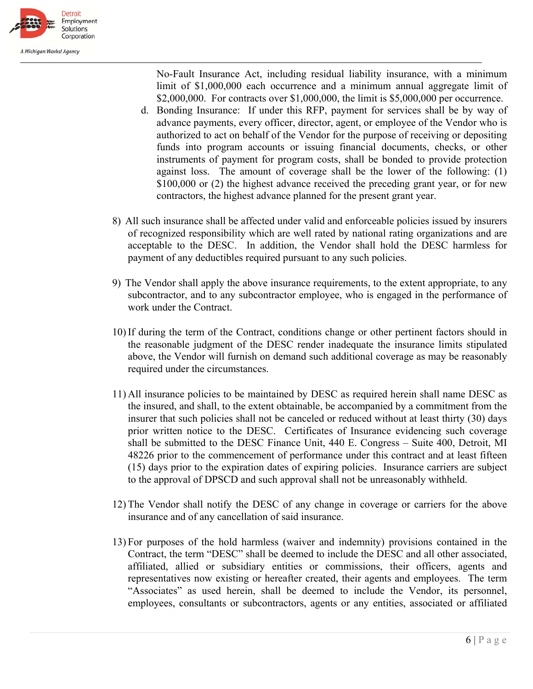

No-Fault Insurance Act, including residual liability insurance, with a minimum limit of \$1,000,000 each occurrence and a minimum annual aggregate limit of \$2,000,000. For contracts over \$1,000,000, the limit is \$5,000,000 per occurrence.

- d. Bonding Insurance: If under this RFP, payment for services shall be by way of advance payments, every officer, director, agent, or employee of the Vendor who is authorized to act on behalf of the Vendor for the purpose of receiving or depositing funds into program accounts or issuing financial documents, checks, or other instruments of payment for program costs, shall be bonded to provide protection against loss. The amount of coverage shall be the lower of the following: (1) \$100,000 or (2) the highest advance received the preceding grant year, or for new contractors, the highest advance planned for the present grant year.
- 8) All such insurance shall be affected under valid and enforceable policies issued by insurers of recognized responsibility which are well rated by national rating organizations and are acceptable to the DESC. In addition, the Vendor shall hold the DESC harmless for payment of any deductibles required pursuant to any such policies.
- 9) The Vendor shall apply the above insurance requirements, to the extent appropriate, to any subcontractor, and to any subcontractor employee, who is engaged in the performance of work under the Contract.
- 10) If during the term of the Contract, conditions change or other pertinent factors should in the reasonable judgment of the DESC render inadequate the insurance limits stipulated above, the Vendor will furnish on demand such additional coverage as may be reasonably required under the circumstances.
- 11) All insurance policies to be maintained by DESC as required herein shall name DESC as the insured, and shall, to the extent obtainable, be accompanied by a commitment from the insurer that such policies shall not be canceled or reduced without at least thirty (30) days prior written notice to the DESC. Certificates of Insurance evidencing such coverage shall be submitted to the DESC Finance Unit, 440 E. Congress – Suite 400, Detroit, MI 48226 prior to the commencement of performance under this contract and at least fifteen (15) days prior to the expiration dates of expiring policies. Insurance carriers are subject to the approval of DPSCD and such approval shall not be unreasonably withheld.
- 12) The Vendor shall notify the DESC of any change in coverage or carriers for the above insurance and of any cancellation of said insurance.
- 13) For purposes of the hold harmless (waiver and indemnity) provisions contained in the Contract, the term "DESC" shall be deemed to include the DESC and all other associated, affiliated, allied or subsidiary entities or commissions, their officers, agents and representatives now existing or hereafter created, their agents and employees. The term "Associates" as used herein, shall be deemed to include the Vendor, its personnel, employees, consultants or subcontractors, agents or any entities, associated or affiliated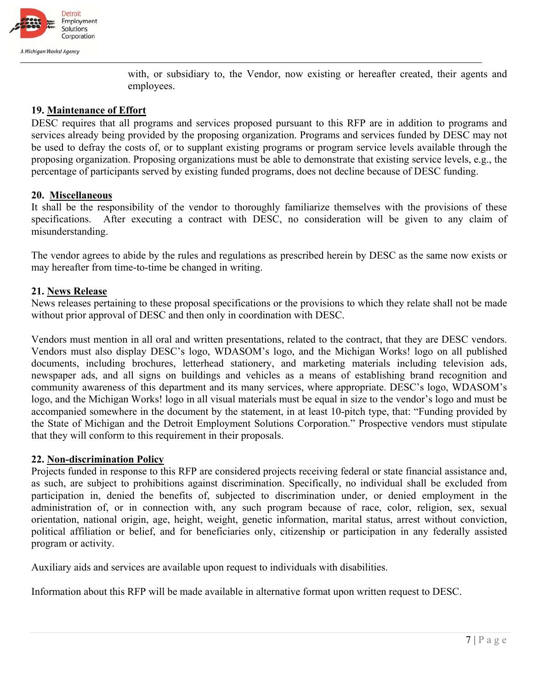

with, or subsidiary to, the Vendor, now existing or hereafter created, their agents and employees.

### **19. Maintenance of Effort**

DESC requires that all programs and services proposed pursuant to this RFP are in addition to programs and services already being provided by the proposing organization. Programs and services funded by DESC may not be used to defray the costs of, or to supplant existing programs or program service levels available through the proposing organization. Proposing organizations must be able to demonstrate that existing service levels, e.g., the percentage of participants served by existing funded programs, does not decline because of DESC funding.

### **20. Miscellaneous**

It shall be the responsibility of the vendor to thoroughly familiarize themselves with the provisions of these specifications. After executing a contract with DESC, no consideration will be given to any claim of misunderstanding.

The vendor agrees to abide by the rules and regulations as prescribed herein by DESC as the same now exists or may hereafter from time-to-time be changed in writing.

### **21. News Release**

News releases pertaining to these proposal specifications or the provisions to which they relate shall not be made without prior approval of DESC and then only in coordination with DESC.

Vendors must mention in all oral and written presentations, related to the contract, that they are DESC vendors. Vendors must also display DESC's logo, WDASOM's logo, and the Michigan Works! logo on all published documents, including brochures, letterhead stationery, and marketing materials including television ads, newspaper ads, and all signs on buildings and vehicles as a means of establishing brand recognition and community awareness of this department and its many services, where appropriate. DESC's logo, WDASOM's logo, and the Michigan Works! logo in all visual materials must be equal in size to the vendor's logo and must be accompanied somewhere in the document by the statement, in at least 10-pitch type, that: "Funding provided by the State of Michigan and the Detroit Employment Solutions Corporation." Prospective vendors must stipulate that they will conform to this requirement in their proposals.

### **22. Non-discrimination Policy**

Projects funded in response to this RFP are considered projects receiving federal or state financial assistance and, as such, are subject to prohibitions against discrimination. Specifically, no individual shall be excluded from participation in, denied the benefits of, subjected to discrimination under, or denied employment in the administration of, or in connection with, any such program because of race, color, religion, sex, sexual orientation, national origin, age, height, weight, genetic information, marital status, arrest without conviction, political affiliation or belief, and for beneficiaries only, citizenship or participation in any federally assisted program or activity.

Auxiliary aids and services are available upon request to individuals with disabilities.

Information about this RFP will be made available in alternative format upon written request to DESC.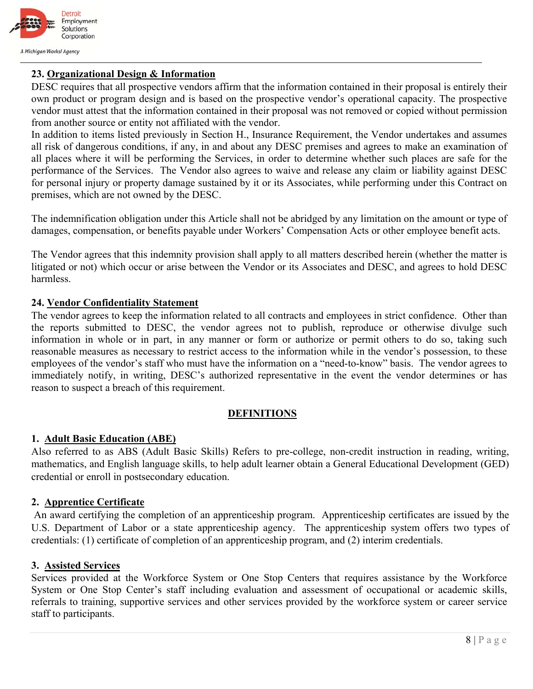

## **23. Organizational Design & Information**

DESC requires that all prospective vendors affirm that the information contained in their proposal is entirely their own product or program design and is based on the prospective vendor's operational capacity. The prospective vendor must attest that the information contained in their proposal was not removed or copied without permission from another source or entity not affiliated with the vendor.

In addition to items listed previously in Section H., Insurance Requirement, the Vendor undertakes and assumes all risk of dangerous conditions, if any, in and about any DESC premises and agrees to make an examination of all places where it will be performing the Services, in order to determine whether such places are safe for the performance of the Services. The Vendor also agrees to waive and release any claim or liability against DESC for personal injury or property damage sustained by it or its Associates, while performing under this Contract on premises, which are not owned by the DESC.

The indemnification obligation under this Article shall not be abridged by any limitation on the amount or type of damages, compensation, or benefits payable under Workers' Compensation Acts or other employee benefit acts.

The Vendor agrees that this indemnity provision shall apply to all matters described herein (whether the matter is litigated or not) which occur or arise between the Vendor or its Associates and DESC, and agrees to hold DESC harmless.

### **24. Vendor Confidentiality Statement**

The vendor agrees to keep the information related to all contracts and employees in strict confidence. Other than the reports submitted to DESC, the vendor agrees not to publish, reproduce or otherwise divulge such information in whole or in part, in any manner or form or authorize or permit others to do so, taking such reasonable measures as necessary to restrict access to the information while in the vendor's possession, to these employees of the vendor's staff who must have the information on a "need-to-know" basis. The vendor agrees to immediately notify, in writing, DESC's authorized representative in the event the vendor determines or has reason to suspect a breach of this requirement.

### **DEFINITIONS**

### **1. Adult Basic Education (ABE)**

Also referred to as ABS (Adult Basic Skills) Refers to pre-college, non-credit instruction in reading, writing, mathematics, and English language skills, to help adult learner obtain a General Educational Development (GED) credential or enroll in postsecondary education.

### **2. Apprentice Certificate**

 An award certifying the completion of an apprenticeship program. Apprenticeship certificates are issued by the U.S. Department of Labor or a state apprenticeship agency. The apprenticeship system offers two types of credentials: (1) certificate of completion of an apprenticeship program, and (2) interim credentials.

#### **3. Assisted Services**

Services provided at the Workforce System or One Stop Centers that requires assistance by the Workforce System or One Stop Center's staff including evaluation and assessment of occupational or academic skills, referrals to training, supportive services and other services provided by the workforce system or career service staff to participants.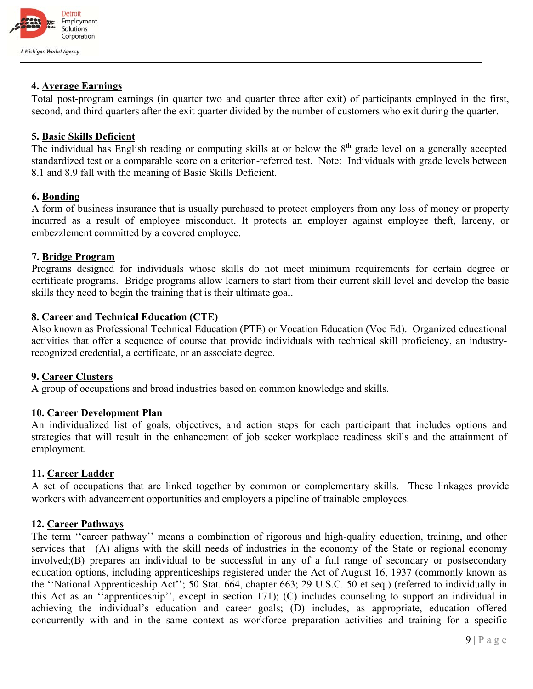

## **4. Average Earnings**

Total post-program earnings (in quarter two and quarter three after exit) of participants employed in the first, second, and third quarters after the exit quarter divided by the number of customers who exit during the quarter.

## **5. Basic Skills Deficient**

The individual has English reading or computing skills at or below the 8<sup>th</sup> grade level on a generally accepted standardized test or a comparable score on a criterion-referred test. Note: Individuals with grade levels between 8.1 and 8.9 fall with the meaning of Basic Skills Deficient.

### **6. Bonding**

A form of business insurance that is usually purchased to protect employers from any loss of money or property incurred as a result of employee misconduct. It protects an employer against employee theft, larceny, or embezzlement committed by a covered employee.

### **7. Bridge Program**

Programs designed for individuals whose skills do not meet minimum requirements for certain degree or certificate programs. Bridge programs allow learners to start from their current skill level and develop the basic skills they need to begin the training that is their ultimate goal.

### **8. Career and Technical Education (CTE)**

Also known as Professional Technical Education (PTE) or Vocation Education (Voc Ed). Organized educational activities that offer a sequence of course that provide individuals with technical skill proficiency, an industryrecognized credential, a certificate, or an associate degree.

### **9. Career Clusters**

A group of occupations and broad industries based on common knowledge and skills.

### **10. Career Development Plan**

An individualized list of goals, objectives, and action steps for each participant that includes options and strategies that will result in the enhancement of job seeker workplace readiness skills and the attainment of employment.

### **11. Career Ladder**

A set of occupations that are linked together by common or complementary skills. These linkages provide workers with advancement opportunities and employers a pipeline of trainable employees.

### **12. Career Pathways**

The term ''career pathway'' means a combination of rigorous and high-quality education, training, and other services that—(A) aligns with the skill needs of industries in the economy of the State or regional economy involved;(B) prepares an individual to be successful in any of a full range of secondary or postsecondary education options, including apprenticeships registered under the Act of August 16, 1937 (commonly known as the ''National Apprenticeship Act''; 50 Stat. 664, chapter 663; 29 U.S.C. 50 et seq.) (referred to individually in this Act as an ''apprenticeship'', except in section 171); (C) includes counseling to support an individual in achieving the individual's education and career goals; (D) includes, as appropriate, education offered concurrently with and in the same context as workforce preparation activities and training for a specific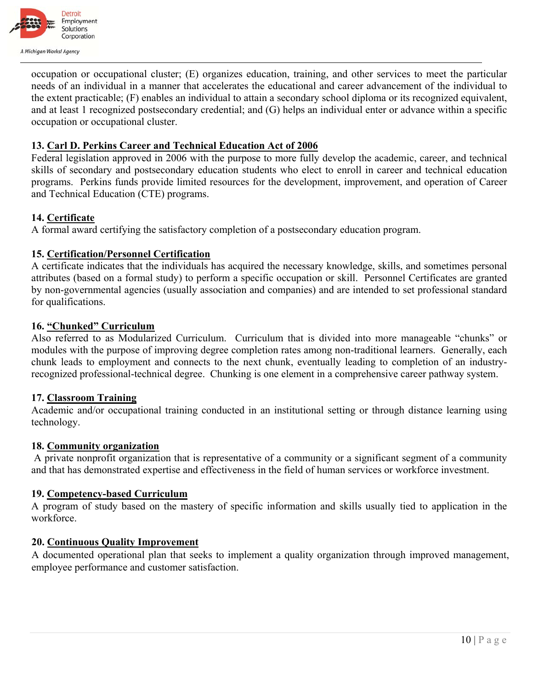

occupation or occupational cluster; (E) organizes education, training, and other services to meet the particular needs of an individual in a manner that accelerates the educational and career advancement of the individual to the extent practicable; (F) enables an individual to attain a secondary school diploma or its recognized equivalent, and at least 1 recognized postsecondary credential; and (G) helps an individual enter or advance within a specific occupation or occupational cluster.

## **13. Carl D. Perkins Career and Technical Education Act of 2006**

Federal legislation approved in 2006 with the purpose to more fully develop the academic, career, and technical skills of secondary and postsecondary education students who elect to enroll in career and technical education programs. Perkins funds provide limited resources for the development, improvement, and operation of Career and Technical Education (CTE) programs.

### **14. Certificate**

A formal award certifying the satisfactory completion of a postsecondary education program.

## **15. Certification/Personnel Certification**

A certificate indicates that the individuals has acquired the necessary knowledge, skills, and sometimes personal attributes (based on a formal study) to perform a specific occupation or skill. Personnel Certificates are granted by non-governmental agencies (usually association and companies) and are intended to set professional standard for qualifications.

### **16. "Chunked" Curriculum**

Also referred to as Modularized Curriculum. Curriculum that is divided into more manageable "chunks" or modules with the purpose of improving degree completion rates among non-traditional learners. Generally, each chunk leads to employment and connects to the next chunk, eventually leading to completion of an industryrecognized professional-technical degree. Chunking is one element in a comprehensive career pathway system.

### **17. Classroom Training**

Academic and/or occupational training conducted in an institutional setting or through distance learning using technology.

### **18. Community organization**

 A private nonprofit organization that is representative of a community or a significant segment of a community and that has demonstrated expertise and effectiveness in the field of human services or workforce investment.

### **19. Competency-based Curriculum**

A program of study based on the mastery of specific information and skills usually tied to application in the workforce.

### **20. Continuous Quality Improvement**

A documented operational plan that seeks to implement a quality organization through improved management, employee performance and customer satisfaction.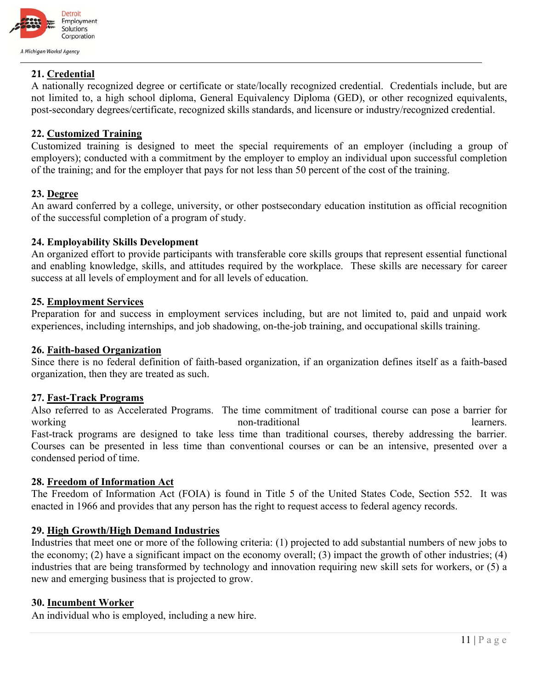

### **21. Credential**

A nationally recognized degree or certificate or state/locally recognized credential. Credentials include, but are not limited to, a high school diploma, General Equivalency Diploma (GED), or other recognized equivalents, post-secondary degrees/certificate, recognized skills standards, and licensure or industry/recognized credential.

### **22. Customized Training**

Customized training is designed to meet the special requirements of an employer (including a group of employers); conducted with a commitment by the employer to employ an individual upon successful completion of the training; and for the employer that pays for not less than 50 percent of the cost of the training.

#### **23. Degree**

An award conferred by a college, university, or other postsecondary education institution as official recognition of the successful completion of a program of study.

#### **24. Employability Skills Development**

An organized effort to provide participants with transferable core skills groups that represent essential functional and enabling knowledge, skills, and attitudes required by the workplace. These skills are necessary for career success at all levels of employment and for all levels of education.

### **25. Employment Services**

Preparation for and success in employment services including, but are not limited to, paid and unpaid work experiences, including internships, and job shadowing, on-the-job training, and occupational skills training.

#### **26. Faith-based Organization**

Since there is no federal definition of faith-based organization, if an organization defines itself as a faith-based organization, then they are treated as such.

#### **27. Fast-Track Programs**

Also referred to as Accelerated Programs. The time commitment of traditional course can pose a barrier for working non-traditional learners. Fast-track programs are designed to take less time than traditional courses, thereby addressing the barrier. Courses can be presented in less time than conventional courses or can be an intensive, presented over a condensed period of time.

#### **28. Freedom of Information Act**

The Freedom of Information Act (FOIA) is found in Title 5 of the United States Code, Section 552. It was enacted in 1966 and provides that any person has the right to request access to federal agency records.

## **29. High Growth/High Demand Industries**

Industries that meet one or more of the following criteria: (1) projected to add substantial numbers of new jobs to the economy; (2) have a significant impact on the economy overall; (3) impact the growth of other industries; (4) industries that are being transformed by technology and innovation requiring new skill sets for workers, or (5) a new and emerging business that is projected to grow.

#### **30. Incumbent Worker**

An individual who is employed, including a new hire.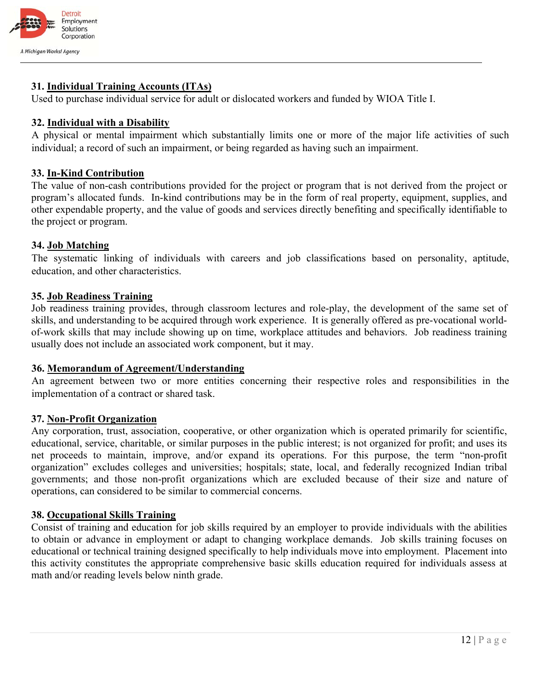

### **31. Individual Training Accounts (ITAs)**

Used to purchase individual service for adult or dislocated workers and funded by WIOA Title I.

#### **32. Individual with a Disability**

A physical or mental impairment which substantially limits one or more of the major life activities of such individual; a record of such an impairment, or being regarded as having such an impairment.

#### **33. In-Kind Contribution**

The value of non-cash contributions provided for the project or program that is not derived from the project or program's allocated funds. In-kind contributions may be in the form of real property, equipment, supplies, and other expendable property, and the value of goods and services directly benefiting and specifically identifiable to the project or program.

#### **34. Job Matching**

The systematic linking of individuals with careers and job classifications based on personality, aptitude, education, and other characteristics.

#### **35. Job Readiness Training**

Job readiness training provides, through classroom lectures and role-play, the development of the same set of skills, and understanding to be acquired through work experience. It is generally offered as pre-vocational worldof-work skills that may include showing up on time, workplace attitudes and behaviors. Job readiness training usually does not include an associated work component, but it may.

### **36. Memorandum of Agreement/Understanding**

An agreement between two or more entities concerning their respective roles and responsibilities in the implementation of a contract or shared task.

#### **37. Non-Profit Organization**

Any corporation, trust, association, cooperative, or other organization which is operated primarily for scientific, educational, service, charitable, or similar purposes in the public interest; is not organized for profit; and uses its net proceeds to maintain, improve, and/or expand its operations. For this purpose, the term "non-profit organization" excludes colleges and universities; hospitals; state, local, and federally recognized Indian tribal governments; and those non-profit organizations which are excluded because of their size and nature of operations, can considered to be similar to commercial concerns.

#### **38. Occupational Skills Training**

Consist of training and education for job skills required by an employer to provide individuals with the abilities to obtain or advance in employment or adapt to changing workplace demands. Job skills training focuses on educational or technical training designed specifically to help individuals move into employment. Placement into this activity constitutes the appropriate comprehensive basic skills education required for individuals assess at math and/or reading levels below ninth grade.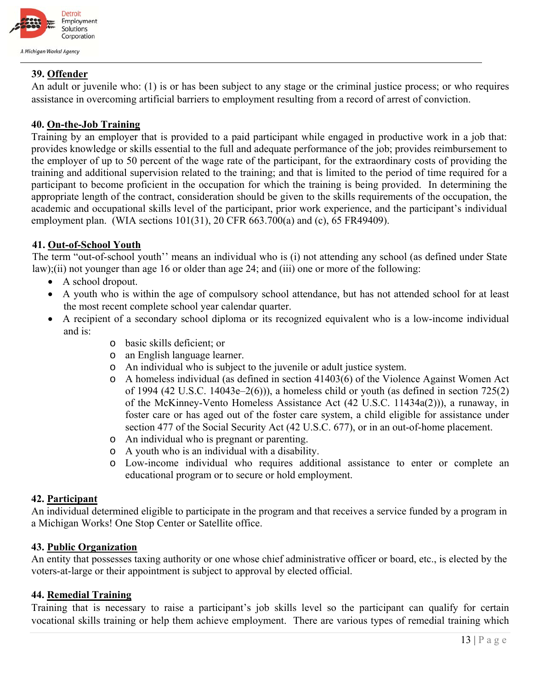

## **39. Offender**

An adult or juvenile who: (1) is or has been subject to any stage or the criminal justice process; or who requires assistance in overcoming artificial barriers to employment resulting from a record of arrest of conviction.

## **40. On-the-Job Training**

Training by an employer that is provided to a paid participant while engaged in productive work in a job that: provides knowledge or skills essential to the full and adequate performance of the job; provides reimbursement to the employer of up to 50 percent of the wage rate of the participant, for the extraordinary costs of providing the training and additional supervision related to the training; and that is limited to the period of time required for a participant to become proficient in the occupation for which the training is being provided. In determining the appropriate length of the contract, consideration should be given to the skills requirements of the occupation, the academic and occupational skills level of the participant, prior work experience, and the participant's individual employment plan. (WIA sections 101(31), 20 CFR 663.700(a) and (c), 65 FR49409).

### **41. Out-of-School Youth**

The term "out-of-school youth'' means an individual who is (i) not attending any school (as defined under State law);(ii) not younger than age 16 or older than age 24; and (iii) one or more of the following:

- A school dropout.
- A youth who is within the age of compulsory school attendance, but has not attended school for at least the most recent complete school year calendar quarter.
- A recipient of a secondary school diploma or its recognized equivalent who is a low-income individual and is:
	- o basic skills deficient; or
	- o an English language learner.
	- o An individual who is subject to the juvenile or adult justice system.
	- o A homeless individual (as defined in section 41403(6) of the Violence Against Women Act of 1994 (42 U.S.C. 14043e–2(6))), a homeless child or youth (as defined in section 725(2) of the McKinney-Vento Homeless Assistance Act (42 U.S.C. 11434a(2))), a runaway, in foster care or has aged out of the foster care system, a child eligible for assistance under section 477 of the Social Security Act (42 U.S.C. 677), or in an out-of-home placement.
	- o An individual who is pregnant or parenting.
	- o A youth who is an individual with a disability.
	- o Low-income individual who requires additional assistance to enter or complete an educational program or to secure or hold employment.

### **42. Participant**

An individual determined eligible to participate in the program and that receives a service funded by a program in a Michigan Works! One Stop Center or Satellite office.

## **43. Public Organization**

An entity that possesses taxing authority or one whose chief administrative officer or board, etc., is elected by the voters-at-large or their appointment is subject to approval by elected official.

### **44. Remedial Training**

Training that is necessary to raise a participant's job skills level so the participant can qualify for certain vocational skills training or help them achieve employment. There are various types of remedial training which